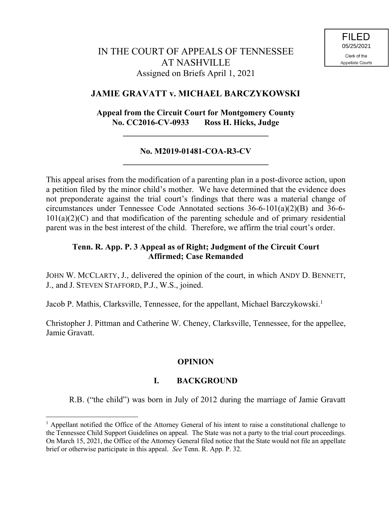# **JAMIE GRAVATT v. MICHAEL BARCZYKOWSKI**

# **Appeal from the Circuit Court for Montgomery County No. CC2016-CV-0933 Ross H. Hicks, Judge**

**\_\_\_\_\_\_\_\_\_\_\_\_\_\_\_\_\_\_\_\_\_\_\_\_\_\_\_\_\_\_\_\_\_\_\_**

### **No. M2019-01481-COA-R3-CV \_\_\_\_\_\_\_\_\_\_\_\_\_\_\_\_\_\_\_\_\_\_\_\_\_\_\_\_\_\_\_\_\_\_\_**

This appeal arises from the modification of a parenting plan in a post-divorce action, upon a petition filed by the minor child's mother. We have determined that the evidence does not preponderate against the trial court's findings that there was a material change of circumstances under Tennessee Code Annotated sections 36-6-101(a)(2)(B) and 36-6-  $101(a)(2)(C)$  and that modification of the parenting schedule and of primary residential parent was in the best interest of the child. Therefore, we affirm the trial court's order.

## **Tenn. R. App. P. 3 Appeal as of Right; Judgment of the Circuit Court Affirmed; Case Remanded**

JOHN W. MCCLARTY, J., delivered the opinion of the court, in which ANDY D. BENNETT, J., and J. STEVEN STAFFORD, P.J., W.S., joined.

Jacob P. Mathis, Clarksville, Tennessee, for the appellant, Michael Barczykowski.<sup>1</sup>

Christopher J. Pittman and Catherine W. Cheney, Clarksville, Tennessee, for the appellee, Jamie Gravatt.

## **OPINION**

## **I. BACKGROUND**

R.B. ("the child") was born in July of 2012 during the marriage of Jamie Gravatt

 $\overline{a}$ 

 $<sup>1</sup>$  Appellant notified the Office of the Attorney General of his intent to raise a constitutional challenge to</sup> the Tennessee Child Support Guidelines on appeal. The State was not a party to the trial court proceedings. On March 15, 2021, the Office of the Attorney General filed notice that the State would not file an appellate brief or otherwise participate in this appeal. *See* Tenn. R. App. P. 32.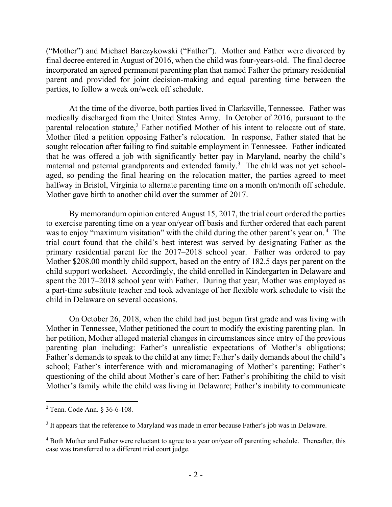("Mother") and Michael Barczykowski ("Father"). Mother and Father were divorced by final decree entered in August of 2016, when the child was four-years-old. The final decree incorporated an agreed permanent parenting plan that named Father the primary residential parent and provided for joint decision-making and equal parenting time between the parties, to follow a week on/week off schedule.

At the time of the divorce, both parties lived in Clarksville, Tennessee. Father was medically discharged from the United States Army. In October of 2016, pursuant to the parental relocation statute, <sup>2</sup> Father notified Mother of his intent to relocate out of state. Mother filed a petition opposing Father's relocation. In response, Father stated that he sought relocation after failing to find suitable employment in Tennessee. Father indicated that he was offered a job with significantly better pay in Maryland, nearby the child's maternal and paternal grandparents and extended family.<sup>3</sup> The child was not yet schoolaged, so pending the final hearing on the relocation matter, the parties agreed to meet halfway in Bristol, Virginia to alternate parenting time on a month on/month off schedule. Mother gave birth to another child over the summer of 2017.

By memorandum opinion entered August 15, 2017, the trial court ordered the parties to exercise parenting time on a year on/year off basis and further ordered that each parent was to enjoy "maximum visitation" with the child during the other parent's year on.<sup>4</sup> The trial court found that the child's best interest was served by designating Father as the primary residential parent for the 2017–2018 school year. Father was ordered to pay Mother \$208.00 monthly child support, based on the entry of 182.5 days per parent on the child support worksheet. Accordingly, the child enrolled in Kindergarten in Delaware and spent the 2017–2018 school year with Father. During that year, Mother was employed as a part-time substitute teacher and took advantage of her flexible work schedule to visit the child in Delaware on several occasions.

On October 26, 2018, when the child had just begun first grade and was living with Mother in Tennessee, Mother petitioned the court to modify the existing parenting plan. In her petition, Mother alleged material changes in circumstances since entry of the previous parenting plan including: Father's unrealistic expectations of Mother's obligations; Father's demands to speak to the child at any time; Father's daily demands about the child's school; Father's interference with and micromanaging of Mother's parenting; Father's questioning of the child about Mother's care of her; Father's prohibiting the child to visit Mother's family while the child was living in Delaware; Father's inability to communicate

 $\overline{a}$ 

<sup>2</sup> Tenn. Code Ann. § 36-6-108.

 $3$  It appears that the reference to Maryland was made in error because Father's job was in Delaware.

<sup>&</sup>lt;sup>4</sup> Both Mother and Father were reluctant to agree to a year on/year off parenting schedule. Thereafter, this case was transferred to a different trial court judge.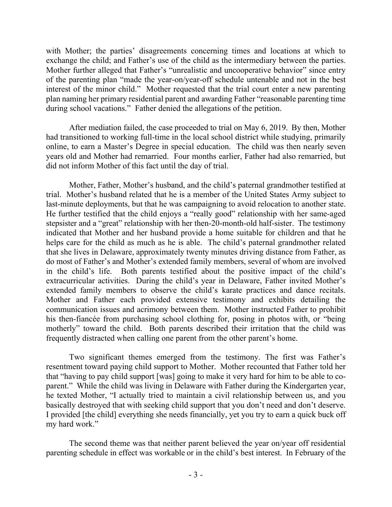with Mother; the parties' disagreements concerning times and locations at which to exchange the child; and Father's use of the child as the intermediary between the parties. Mother further alleged that Father's "unrealistic and uncooperative behavior" since entry of the parenting plan "made the year-on/year-off schedule untenable and not in the best interest of the minor child." Mother requested that the trial court enter a new parenting plan naming her primary residential parent and awarding Father "reasonable parenting time during school vacations." Father denied the allegations of the petition.

After mediation failed, the case proceeded to trial on May 6, 2019. By then, Mother had transitioned to working full-time in the local school district while studying, primarily online, to earn a Master's Degree in special education. The child was then nearly seven years old and Mother had remarried. Four months earlier, Father had also remarried, but did not inform Mother of this fact until the day of trial.

Mother, Father, Mother's husband, and the child's paternal grandmother testified at trial. Mother's husband related that he is a member of the United States Army subject to last-minute deployments, but that he was campaigning to avoid relocation to another state. He further testified that the child enjoys a "really good" relationship with her same-aged stepsister and a "great" relationship with her then-20-month-old half-sister. The testimony indicated that Mother and her husband provide a home suitable for children and that he helps care for the child as much as he is able. The child's paternal grandmother related that she lives in Delaware, approximately twenty minutes driving distance from Father, as do most of Father's and Mother's extended family members, several of whom are involved in the child's life. Both parents testified about the positive impact of the child's extracurricular activities. During the child's year in Delaware, Father invited Mother's extended family members to observe the child's karate practices and dance recitals. Mother and Father each provided extensive testimony and exhibits detailing the communication issues and acrimony between them. Mother instructed Father to prohibit his then-fiancée from purchasing school clothing for, posing in photos with, or "being motherly" toward the child. Both parents described their irritation that the child was frequently distracted when calling one parent from the other parent's home.

Two significant themes emerged from the testimony. The first was Father's resentment toward paying child support to Mother. Mother recounted that Father told her that "having to pay child support [was] going to make it very hard for him to be able to coparent." While the child was living in Delaware with Father during the Kindergarten year, he texted Mother, "I actually tried to maintain a civil relationship between us, and you basically destroyed that with seeking child support that you don't need and don't deserve. I provided [the child] everything she needs financially, yet you try to earn a quick buck off my hard work."

The second theme was that neither parent believed the year on/year off residential parenting schedule in effect was workable or in the child's best interest. In February of the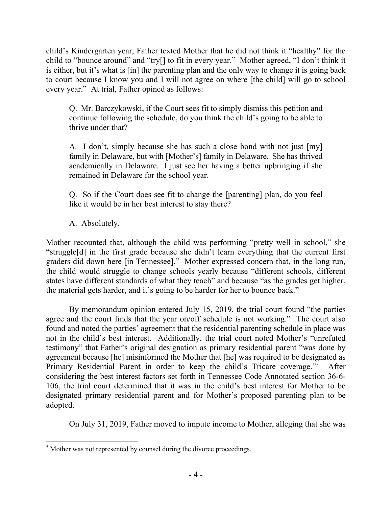child's Kindergarten year, Father texted Mother that he did not think it "healthy" for the child to "bounce around" and "try[] to fit in every year." Mother agreed, "I don't think it is either, but it's what is [in] the parenting plan and the only way to change it is going back to court because I know you and I will not agree on where [the child] will go to school every year." At trial, Father opined as follows:

Q. Mr. Barczykowski, if the Court sees fit to simply dismiss this petition and continue following the schedule, do you think the child's going to be able to thrive under that?

A. I don't, simply because she has such a close bond with not just [my] family in Delaware, but with [Mother's] family in Delaware. She has thrived academically in Delaware. I just see her having a better upbringing if she remained in Delaware for the school year.

Q. So if the Court does see fit to change the [parenting] plan, do you feel like it would be in her best interest to stay there?

A. Absolutely.

Mother recounted that, although the child was performing "pretty well in school," she "struggle[d] in the first grade because she didn't learn everything that the current first graders did down here [in Tennessee]." Mother expressed concern that, in the long run, the child would struggle to change schools yearly because "different schools, different states have different standards of what they teach" and because "as the grades get higher, the material gets harder, and it's going to be harder for her to bounce back."

By memorandum opinion entered July 15, 2019, the trial court found "the parties agree and the court finds that the year on/off schedule is not working." The court also found and noted the parties' agreement that the residential parenting schedule in place was not in the child's best interest. Additionally, the trial court noted Mother's "unrefuted testimony" that Father's original designation as primary residential parent "was done by agreement because [he] misinformed the Mother that [he] was required to be designated as Primary Residential Parent in order to keep the child's Tricare coverage."<sup>5</sup> After considering the best interest factors set forth in Tennessee Code Annotated section 36-6- 106, the trial court determined that it was in the child's best interest for Mother to be designated primary residential parent and for Mother's proposed parenting plan to be adopted.

On July 31, 2019, Father moved to impute income to Mother, alleging that she was

 $\overline{a}$  $<sup>5</sup>$  Mother was not represented by counsel during the divorce proceedings.</sup>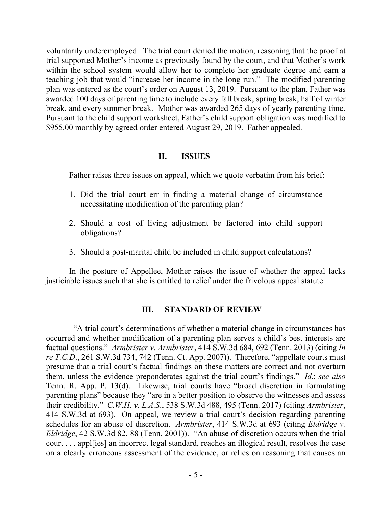voluntarily underemployed. The trial court denied the motion, reasoning that the proof at trial supported Mother's income as previously found by the court, and that Mother's work within the school system would allow her to complete her graduate degree and earn a teaching job that would "increase her income in the long run." The modified parenting plan was entered as the court's order on August 13, 2019. Pursuant to the plan, Father was awarded 100 days of parenting time to include every fall break, spring break, half of winter break, and every summer break. Mother was awarded 265 days of yearly parenting time. Pursuant to the child support worksheet, Father's child support obligation was modified to \$955.00 monthly by agreed order entered August 29, 2019. Father appealed.

### **II. ISSUES**

Father raises three issues on appeal, which we quote verbatim from his brief:

- 1. Did the trial court err in finding a material change of circumstance necessitating modification of the parenting plan?
- 2. Should a cost of living adjustment be factored into child support obligations?
- 3. Should a post-marital child be included in child support calculations?

In the posture of Appellee, Mother raises the issue of whether the appeal lacks justiciable issues such that she is entitled to relief under the frivolous appeal statute.

## **III. STANDARD OF REVIEW**

 "A trial court's determinations of whether a material change in circumstances has occurred and whether modification of a parenting plan serves a child's best interests are factual questions." *Armbrister v. Armbrister*, 414 S.W.3d 684, 692 (Tenn. 2013) (citing *In re T.C.D*., 261 S.W.3d 734, 742 (Tenn. Ct. App. 2007)). Therefore, "appellate courts must presume that a trial court's factual findings on these matters are correct and not overturn them, unless the evidence preponderates against the trial court's findings." *Id*.; *see also* Tenn. R. App. P. 13(d). Likewise, trial courts have "broad discretion in formulating parenting plans" because they "are in a better position to observe the witnesses and assess their credibility." *C.W.H. v. L.A.S*., 538 S.W.3d 488, 495 (Tenn. 2017) (citing *Armbrister*, 414 S.W.3d at 693). On appeal, we review a trial court's decision regarding parenting schedules for an abuse of discretion. *Armbrister*, 414 S.W.3d at 693 (citing *Eldridge v. Eldridge*, 42 S.W.3d 82, 88 (Tenn. 2001)). "An abuse of discretion occurs when the trial court . . . appl[ies] an incorrect legal standard, reaches an illogical result, resolves the case on a clearly erroneous assessment of the evidence, or relies on reasoning that causes an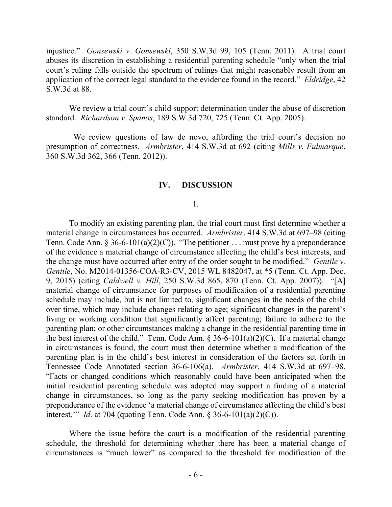injustice." *Gonsewski v. Gonsewski*, 350 S.W.3d 99, 105 (Tenn. 2011). A trial court abuses its discretion in establishing a residential parenting schedule "only when the trial court's ruling falls outside the spectrum of rulings that might reasonably result from an application of the correct legal standard to the evidence found in the record." *Eldridge*, 42 S.W.3d at 88.

We review a trial court's child support determination under the abuse of discretion standard. *Richardson v. Spanos*, 189 S.W.3d 720, 725 (Tenn. Ct. App. 2005).

 We review questions of law de novo, affording the trial court's decision no presumption of correctness. *Armbrister*, 414 S.W.3d at 692 (citing *Mills v. Fulmarque*, 360 S.W.3d 362, 366 (Tenn. 2012)).

#### **IV. DISCUSSION**

#### 1.

To modify an existing parenting plan, the trial court must first determine whether a material change in circumstances has occurred. *Armbrister*, 414 S.W.3d at 697–98 (citing Tenn. Code Ann. § 36-6-101(a)(2)(C)). "The petitioner . . . must prove by a preponderance of the evidence a material change of circumstance affecting the child's best interests, and the change must have occurred after entry of the order sought to be modified." *Gentile v. Gentile*, No. M2014-01356-COA-R3-CV, 2015 WL 8482047, at \*5 (Tenn. Ct. App. Dec. 9, 2015) (citing *Caldwell v. Hill*, 250 S.W.3d 865, 870 (Tenn. Ct. App. 2007)). "[A] material change of circumstance for purposes of modification of a residential parenting schedule may include, but is not limited to, significant changes in the needs of the child over time, which may include changes relating to age; significant changes in the parent's living or working condition that significantly affect parenting; failure to adhere to the parenting plan; or other circumstances making a change in the residential parenting time in the best interest of the child." Tenn. Code Ann.  $\S 36-6-101(a)(2)(C)$ . If a material change in circumstances is found, the court must then determine whether a modification of the parenting plan is in the child's best interest in consideration of the factors set forth in Tennessee Code Annotated section 36-6-106(a). *Armbrister*, 414 S.W.3d at 697–98. "Facts or changed conditions which reasonably could have been anticipated when the initial residential parenting schedule was adopted may support a finding of a material change in circumstances, so long as the party seeking modification has proven by a preponderance of the evidence 'a material change of circumstance affecting the child's best interest.'" *Id*. at 704 (quoting Tenn. Code Ann. § 36-6-101(a)(2)(C)).

Where the issue before the court is a modification of the residential parenting schedule, the threshold for determining whether there has been a material change of circumstances is "much lower" as compared to the threshold for modification of the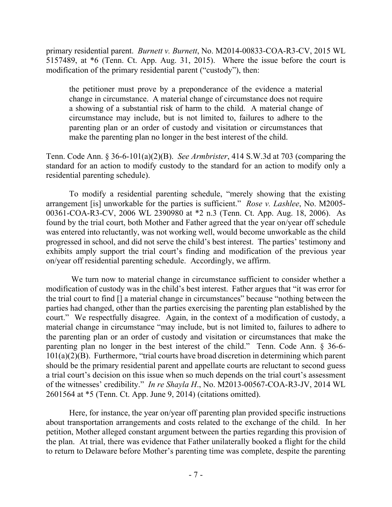primary residential parent. *Burnett v. Burnett*, No. M2014-00833-COA-R3-CV, 2015 WL 5157489, at \*6 (Tenn. Ct. App. Aug. 31, 2015). Where the issue before the court is modification of the primary residential parent ("custody"), then:

the petitioner must prove by a preponderance of the evidence a material change in circumstance. A material change of circumstance does not require a showing of a substantial risk of harm to the child. A material change of circumstance may include, but is not limited to, failures to adhere to the parenting plan or an order of custody and visitation or circumstances that make the parenting plan no longer in the best interest of the child.

Tenn. Code Ann. § 36-6-101(a)(2)(B). *See Armbrister*, 414 S.W.3d at 703 (comparing the standard for an action to modify custody to the standard for an action to modify only a residential parenting schedule).

To modify a residential parenting schedule, "merely showing that the existing arrangement [is] unworkable for the parties is sufficient." *Rose v. Lashlee*, No. M2005- 00361-COA-R3-CV, 2006 WL 2390980 at \*2 n.3 (Tenn. Ct. App. Aug. 18, 2006). As found by the trial court, both Mother and Father agreed that the year on/year off schedule was entered into reluctantly, was not working well, would become unworkable as the child progressed in school, and did not serve the child's best interest. The parties' testimony and exhibits amply support the trial court's finding and modification of the previous year on/year off residential parenting schedule. Accordingly, we affirm.

We turn now to material change in circumstance sufficient to consider whether a modification of custody was in the child's best interest. Father argues that "it was error for the trial court to find [] a material change in circumstances" because "nothing between the parties had changed, other than the parties exercising the parenting plan established by the court." We respectfully disagree. Again, in the context of a modification of custody, a material change in circumstance "may include, but is not limited to, failures to adhere to the parenting plan or an order of custody and visitation or circumstances that make the parenting plan no longer in the best interest of the child." Tenn. Code Ann. § 36-6- 101(a)(2)(B). Furthermore, "trial courts have broad discretion in determining which parent should be the primary residential parent and appellate courts are reluctant to second guess a trial court's decision on this issue when so much depends on the trial court's assessment of the witnesses' credibility." *In re Shayla H*., No. M2013-00567-COA-R3-JV, 2014 WL 2601564 at \*5 (Tenn. Ct. App. June 9, 2014) (citations omitted).

Here, for instance, the year on/year off parenting plan provided specific instructions about transportation arrangements and costs related to the exchange of the child. In her petition, Mother alleged constant argument between the parties regarding this provision of the plan. At trial, there was evidence that Father unilaterally booked a flight for the child to return to Delaware before Mother's parenting time was complete, despite the parenting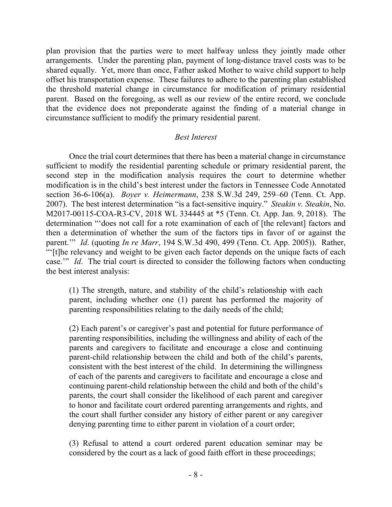plan provision that the parties were to meet halfway unless they jointly made other arrangements. Under the parenting plan, payment of long-distance travel costs was to be shared equally. Yet, more than once, Father asked Mother to waive child support to help offset his transportation expense. These failures to adhere to the parenting plan established the threshold material change in circumstance for modification of primary residential parent. Based on the foregoing, as well as our review of the entire record, we conclude that the evidence does not preponderate against the finding of a material change in circumstance sufficient to modify the primary residential parent.

### *Best Interest*

Once the trial court determines that there has been a material change in circumstance sufficient to modify the residential parenting schedule or primary residential parent, the second step in the modification analysis requires the court to determine whether modification is in the child's best interest under the factors in Tennessee Code Annotated section 36-6-106(a). *Boyer v. Heimermann*, 238 S.W.3d 249, 259–60 (Tenn. Ct. App. 2007). The best interest determination "is a fact-sensitive inquiry." *Steakin v. Steakin*, No. M2017-00115-COA-R3-CV, 2018 WL 334445 at \*5 (Tenn. Ct. App. Jan. 9, 2018). The determination "'does not call for a rote examination of each of [the relevant] factors and then a determination of whether the sum of the factors tips in favor of or against the parent.'" *Id*. (quoting *In re Marr*, 194 S.W.3d 490, 499 (Tenn. Ct. App. 2005)). Rather, "'[t]he relevancy and weight to be given each factor depends on the unique facts of each case.'" *Id*. The trial court is directed to consider the following factors when conducting the best interest analysis:

(1) The strength, nature, and stability of the child's relationship with each parent, including whether one (1) parent has performed the majority of parenting responsibilities relating to the daily needs of the child;

(2) Each parent's or caregiver's past and potential for future performance of parenting responsibilities, including the willingness and ability of each of the parents and caregivers to facilitate and encourage a close and continuing parent-child relationship between the child and both of the child's parents, consistent with the best interest of the child. In determining the willingness of each of the parents and caregivers to facilitate and encourage a close and continuing parent-child relationship between the child and both of the child's parents, the court shall consider the likelihood of each parent and caregiver to honor and facilitate court ordered parenting arrangements and rights, and the court shall further consider any history of either parent or any caregiver denying parenting time to either parent in violation of a court order;

(3) Refusal to attend a court ordered parent education seminar may be considered by the court as a lack of good faith effort in these proceedings;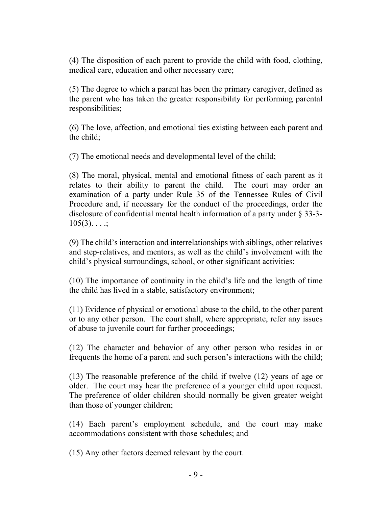(4) The disposition of each parent to provide the child with food, clothing, medical care, education and other necessary care;

(5) The degree to which a parent has been the primary caregiver, defined as the parent who has taken the greater responsibility for performing parental responsibilities;

(6) The love, affection, and emotional ties existing between each parent and the child;

(7) The emotional needs and developmental level of the child;

(8) The moral, physical, mental and emotional fitness of each parent as it relates to their ability to parent the child. The court may order an examination of a party under Rule 35 of the Tennessee Rules of Civil Procedure and, if necessary for the conduct of the proceedings, order the disclosure of confidential mental health information of a party under § 33-3-  $105(3)$ . . . .;

(9) The child's interaction and interrelationships with siblings, other relatives and step-relatives, and mentors, as well as the child's involvement with the child's physical surroundings, school, or other significant activities;

(10) The importance of continuity in the child's life and the length of time the child has lived in a stable, satisfactory environment;

(11) Evidence of physical or emotional abuse to the child, to the other parent or to any other person. The court shall, where appropriate, refer any issues of abuse to juvenile court for further proceedings;

(12) The character and behavior of any other person who resides in or frequents the home of a parent and such person's interactions with the child;

(13) The reasonable preference of the child if twelve (12) years of age or older. The court may hear the preference of a younger child upon request. The preference of older children should normally be given greater weight than those of younger children;

(14) Each parent's employment schedule, and the court may make accommodations consistent with those schedules; and

(15) Any other factors deemed relevant by the court.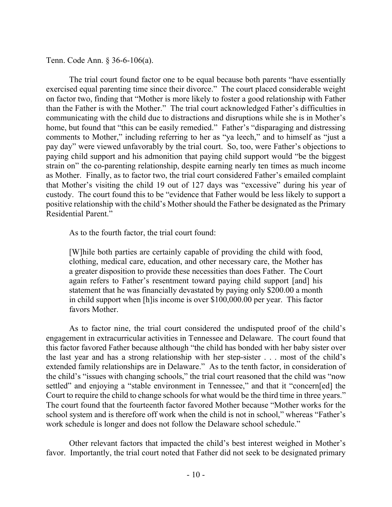Tenn. Code Ann. § 36-6-106(a).

The trial court found factor one to be equal because both parents "have essentially exercised equal parenting time since their divorce." The court placed considerable weight on factor two, finding that "Mother is more likely to foster a good relationship with Father than the Father is with the Mother." The trial court acknowledged Father's difficulties in communicating with the child due to distractions and disruptions while she is in Mother's home, but found that "this can be easily remedied." Father's "disparaging and distressing comments to Mother," including referring to her as "ya leech," and to himself as "just a pay day" were viewed unfavorably by the trial court. So, too, were Father's objections to paying child support and his admonition that paying child support would "be the biggest strain on" the co-parenting relationship, despite earning nearly ten times as much income as Mother. Finally, as to factor two, the trial court considered Father's emailed complaint that Mother's visiting the child 19 out of 127 days was "excessive" during his year of custody. The court found this to be "evidence that Father would be less likely to support a positive relationship with the child's Mother should the Father be designated as the Primary Residential Parent."

As to the fourth factor, the trial court found:

[W]hile both parties are certainly capable of providing the child with food, clothing, medical care, education, and other necessary care, the Mother has a greater disposition to provide these necessities than does Father. The Court again refers to Father's resentment toward paying child support [and] his statement that he was financially devastated by paying only \$200.00 a month in child support when [h]is income is over \$100,000.00 per year. This factor favors Mother.

As to factor nine, the trial court considered the undisputed proof of the child's engagement in extracurricular activities in Tennessee and Delaware. The court found that this factor favored Father because although "the child has bonded with her baby sister over the last year and has a strong relationship with her step-sister . . . most of the child's extended family relationships are in Delaware." As to the tenth factor, in consideration of the child's "issues with changing schools," the trial court reasoned that the child was "now settled" and enjoying a "stable environment in Tennessee," and that it "concern[ed] the Court to require the child to change schools for what would be the third time in three years." The court found that the fourteenth factor favored Mother because "Mother works for the school system and is therefore off work when the child is not in school," whereas "Father's work schedule is longer and does not follow the Delaware school schedule."

Other relevant factors that impacted the child's best interest weighed in Mother's favor. Importantly, the trial court noted that Father did not seek to be designated primary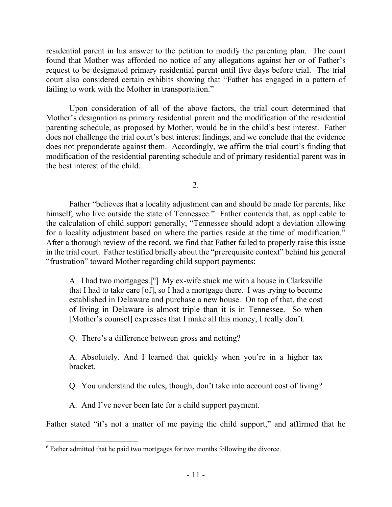residential parent in his answer to the petition to modify the parenting plan. The court found that Mother was afforded no notice of any allegations against her or of Father's request to be designated primary residential parent until five days before trial. The trial court also considered certain exhibits showing that "Father has engaged in a pattern of failing to work with the Mother in transportation."

Upon consideration of all of the above factors, the trial court determined that Mother's designation as primary residential parent and the modification of the residential parenting schedule, as proposed by Mother, would be in the child's best interest. Father does not challenge the trial court's best interest findings, and we conclude that the evidence does not preponderate against them. Accordingly, we affirm the trial court's finding that modification of the residential parenting schedule and of primary residential parent was in the best interest of the child.

2.

Father "believes that a locality adjustment can and should be made for parents, like himself, who live outside the state of Tennessee." Father contends that, as applicable to the calculation of child support generally, "Tennessee should adopt a deviation allowing for a locality adjustment based on where the parties reside at the time of modification." After a thorough review of the record, we find that Father failed to properly raise this issue in the trial court. Father testified briefly about the "prerequisite context" behind his general "frustration" toward Mother regarding child support payments:

A. I had two mortgages.[<sup>6</sup> ] My ex-wife stuck me with a house in Clarksville that I had to take care [of], so I had a mortgage there. I was trying to become established in Delaware and purchase a new house. On top of that, the cost of living in Delaware is almost triple than it is in Tennessee. So when [Mother's counsel] expresses that I make all this money, I really don't.

Q. There's a difference between gross and netting?

A. Absolutely. And I learned that quickly when you're in a higher tax bracket.

Q. You understand the rules, though, don't take into account cost of living?

A. And I've never been late for a child support payment.

Father stated "it's not a matter of me paying the child support," and affirmed that he

 $\overline{a}$ <sup>6</sup> Father admitted that he paid two mortgages for two months following the divorce.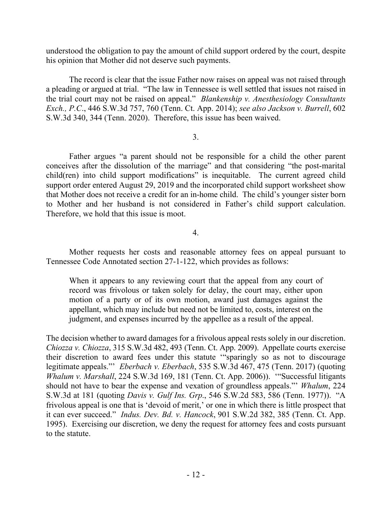understood the obligation to pay the amount of child support ordered by the court, despite his opinion that Mother did not deserve such payments.

The record is clear that the issue Father now raises on appeal was not raised through a pleading or argued at trial. "The law in Tennessee is well settled that issues not raised in the trial court may not be raised on appeal." *Blankenship v. Anesthesiology Consultants Exch., P.C*., 446 S.W.3d 757, 760 (Tenn. Ct. App. 2014); *see also Jackson v. Burrell*, 602 S.W.3d 340, 344 (Tenn. 2020). Therefore, this issue has been waived.

### 3.

Father argues "a parent should not be responsible for a child the other parent conceives after the dissolution of the marriage" and that considering "the post-marital child(ren) into child support modifications" is inequitable. The current agreed child support order entered August 29, 2019 and the incorporated child support worksheet show that Mother does not receive a credit for an in-home child. The child's younger sister born to Mother and her husband is not considered in Father's child support calculation. Therefore, we hold that this issue is moot.

4.

Mother requests her costs and reasonable attorney fees on appeal pursuant to Tennessee Code Annotated section 27-1-122, which provides as follows:

When it appears to any reviewing court that the appeal from any court of record was frivolous or taken solely for delay, the court may, either upon motion of a party or of its own motion, award just damages against the appellant, which may include but need not be limited to, costs, interest on the judgment, and expenses incurred by the appellee as a result of the appeal.

The decision whether to award damages for a frivolous appeal rests solely in our discretion. *Chiozza v. Chiozza*, 315 S.W.3d 482, 493 (Tenn. Ct. App. 2009). Appellate courts exercise their discretion to award fees under this statute '"sparingly so as not to discourage legitimate appeals."' *Eberbach v. Eberbach*, 535 S.W.3d 467, 475 (Tenn. 2017) (quoting *Whalum v. Marshall*, 224 S.W.3d 169, 181 (Tenn. Ct. App. 2006)). '"Successful litigants should not have to bear the expense and vexation of groundless appeals."' *Whalum*, 224 S.W.3d at 181 (quoting *Davis v. Gulf Ins. Grp*., 546 S.W.2d 583, 586 (Tenn. 1977)). "A frivolous appeal is one that is 'devoid of merit,' or one in which there is little prospect that it can ever succeed." *Indus. Dev. Bd. v. Hancock*, 901 S.W.2d 382, 385 (Tenn. Ct. App. 1995). Exercising our discretion, we deny the request for attorney fees and costs pursuant to the statute.